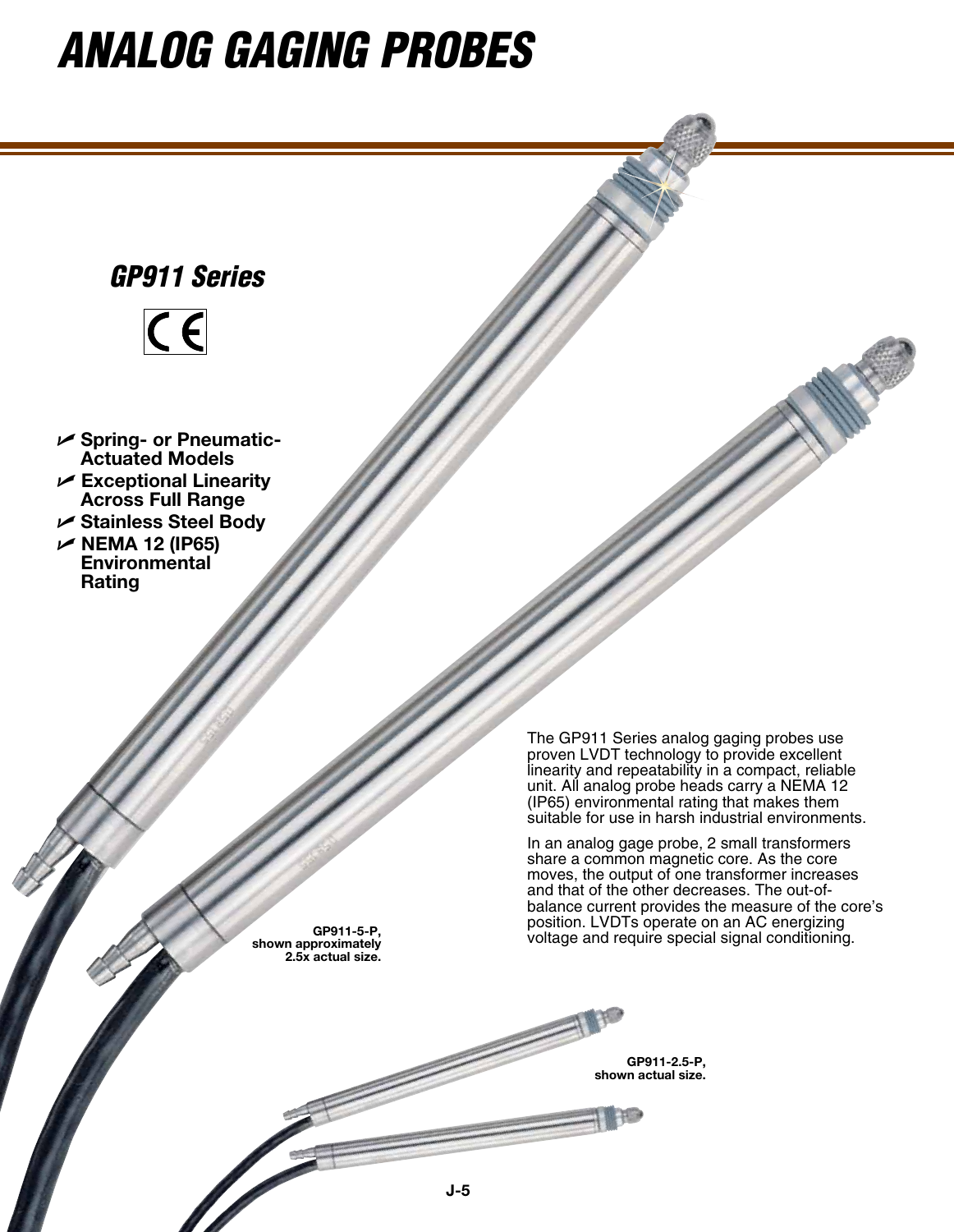# *Analog gaging probes*



**shown approximately 2.5x actual size.**

voltage and require special signal conditioning. **GP911-5-P,** 

**GP911-2.5-P, shown actual size.**